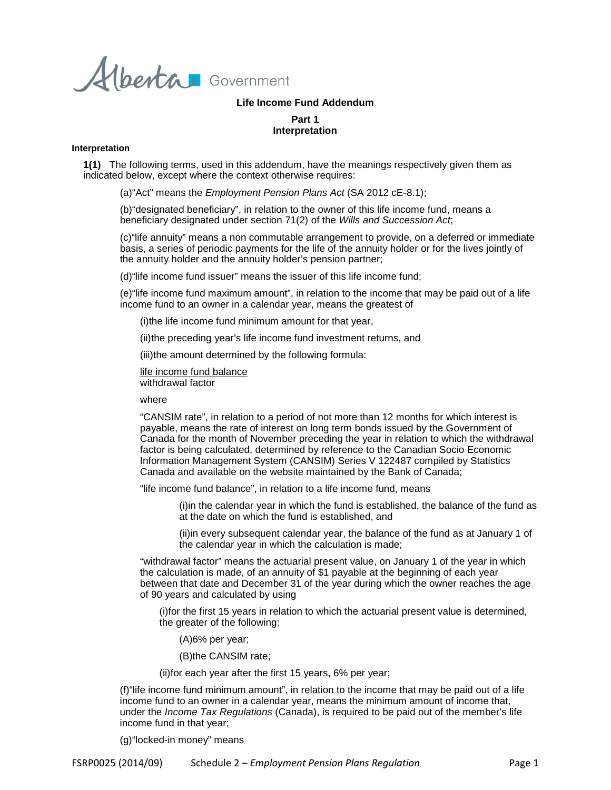Alberta Government

## **Life Income Fund Addendum**

# **Part 1 Interpretation**

#### **Interpretation**

**1(1)** The following terms, used in this addendum, have the meanings respectively given them as indicated below, except where the context otherwise requires:

(a)"Act" means the *Employment Pension Plans Act* (SA 2012 cE-8.1);

(b)"designated beneficiary", in relation to the owner of this life income fund, means a beneficiary designated under section 71(2) of the *Wills and Succession Act*;

(c)"life annuity" means a non commutable arrangement to provide, on a deferred or immediate basis, a series of periodic payments for the life of the annuity holder or for the lives jointly of the annuity holder and the annuity holder's pension partner;

(d)"life income fund issuer" means the issuer of this life income fund;

(e)"life income fund maximum amount", in relation to the income that may be paid out of a life income fund to an owner in a calendar year, means the greatest of

(i)the life income fund minimum amount for that year,

(ii)the preceding year's life income fund investment returns, and

(iii)the amount determined by the following formula:

life income fund balance withdrawal factor

where

"CANSIM rate", in relation to a period of not more than 12 months for which interest is payable, means the rate of interest on long term bonds issued by the Government of Canada for the month of November preceding the year in relation to which the withdrawal factor is being calculated, determined by reference to the Canadian Socio Economic Information Management System (CANSIM) Series V 122487 compiled by Statistics Canada and available on the website maintained by the Bank of Canada;

"life income fund balance", in relation to a life income fund, means

(i)in the calendar year in which the fund is established, the balance of the fund as at the date on which the fund is established, and

(ii)in every subsequent calendar year, the balance of the fund as at January 1 of the calendar year in which the calculation is made;

"withdrawal factor" means the actuarial present value, on January 1 of the year in which the calculation is made, of an annuity of \$1 payable at the beginning of each year between that date and December 31 of the year during which the owner reaches the age of 90 years and calculated by using

(i)for the first 15 years in relation to which the actuarial present value is determined, the greater of the following:

(A)6% per year;

(B)the CANSIM rate;

(ii)for each year after the first 15 years, 6% per year;

(f)"life income fund minimum amount", in relation to the income that may be paid out of a life income fund to an owner in a calendar year, means the minimum amount of income that, under the *Income Tax Regulations* (Canada), is required to be paid out of the member's life income fund in that year;

(g)"locked-in money" means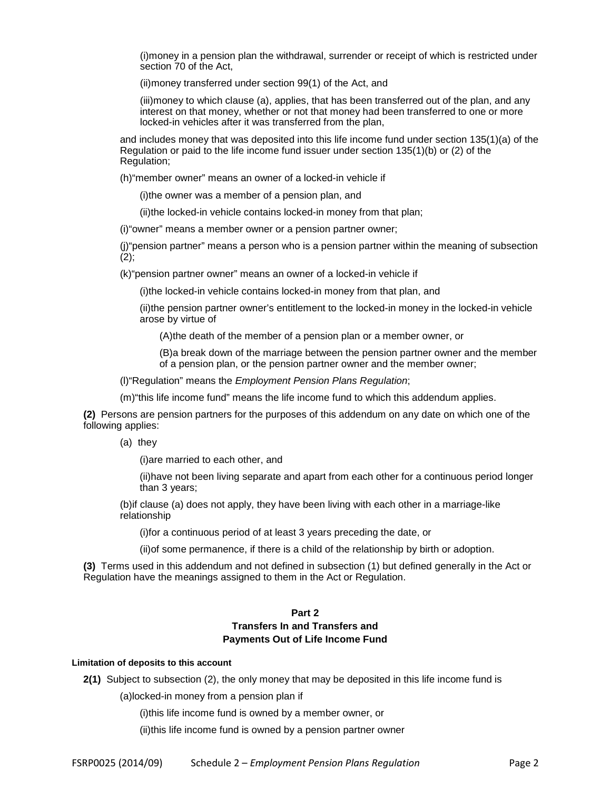(i)money in a pension plan the withdrawal, surrender or receipt of which is restricted under section 70 of the Act,

(ii)money transferred under section 99(1) of the Act, and

(iii)money to which clause (a), applies, that has been transferred out of the plan, and any interest on that money, whether or not that money had been transferred to one or more locked-in vehicles after it was transferred from the plan,

and includes money that was deposited into this life income fund under section 135(1)(a) of the Regulation or paid to the life income fund issuer under section 135(1)(b) or (2) of the Regulation;

(h)"member owner" means an owner of a locked-in vehicle if

(i)the owner was a member of a pension plan, and

(ii)the locked-in vehicle contains locked-in money from that plan;

(i)"owner" means a member owner or a pension partner owner;

(j)"pension partner" means a person who is a pension partner within the meaning of subsection  $(2);$ 

(k)"pension partner owner" means an owner of a locked-in vehicle if

(i)the locked-in vehicle contains locked-in money from that plan, and

(ii)the pension partner owner's entitlement to the locked-in money in the locked-in vehicle arose by virtue of

(A)the death of the member of a pension plan or a member owner, or

(B)a break down of the marriage between the pension partner owner and the member of a pension plan, or the pension partner owner and the member owner;

(l)"Regulation" means the *Employment Pension Plans Regulation*;

(m)"this life income fund" means the life income fund to which this addendum applies.

**(2)** Persons are pension partners for the purposes of this addendum on any date on which one of the following applies:

(a) they

(i)are married to each other, and

(ii)have not been living separate and apart from each other for a continuous period longer than 3 years;

(b)if clause (a) does not apply, they have been living with each other in a marriage-like relationship

(i)for a continuous period of at least 3 years preceding the date, or

(ii)of some permanence, if there is a child of the relationship by birth or adoption.

**(3)** Terms used in this addendum and not defined in subsection (1) but defined generally in the Act or Regulation have the meanings assigned to them in the Act or Regulation.

# **Part 2 Transfers In and Transfers and Payments Out of Life Income Fund**

#### **Limitation of deposits to this account**

**2(1)** Subject to subsection (2), the only money that may be deposited in this life income fund is

(a)locked-in money from a pension plan if

(i)this life income fund is owned by a member owner, or

(ii)this life income fund is owned by a pension partner owner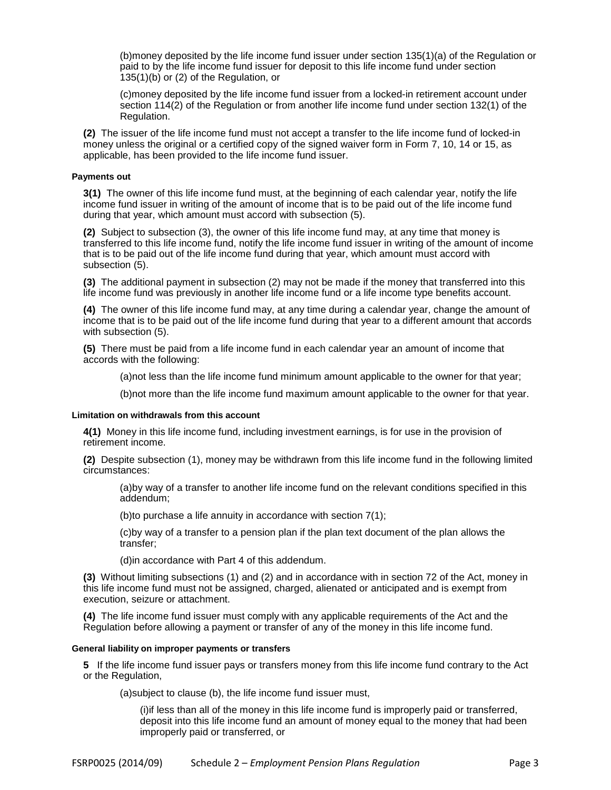(b)money deposited by the life income fund issuer under section 135(1)(a) of the Regulation or paid to by the life income fund issuer for deposit to this life income fund under section 135(1)(b) or (2) of the Regulation, or

(c)money deposited by the life income fund issuer from a locked-in retirement account under section 114(2) of the Regulation or from another life income fund under section 132(1) of the Regulation.

**(2)** The issuer of the life income fund must not accept a transfer to the life income fund of locked-in money unless the original or a certified copy of the signed waiver form in Form 7, 10, 14 or 15, as applicable, has been provided to the life income fund issuer.

# **Payments out**

**3(1)** The owner of this life income fund must, at the beginning of each calendar year, notify the life income fund issuer in writing of the amount of income that is to be paid out of the life income fund during that year, which amount must accord with subsection (5).

**(2)** Subject to subsection (3), the owner of this life income fund may, at any time that money is transferred to this life income fund, notify the life income fund issuer in writing of the amount of income that is to be paid out of the life income fund during that year, which amount must accord with subsection (5).

**(3)** The additional payment in subsection (2) may not be made if the money that transferred into this life income fund was previously in another life income fund or a life income type benefits account.

**(4)** The owner of this life income fund may, at any time during a calendar year, change the amount of income that is to be paid out of the life income fund during that year to a different amount that accords with subsection (5).

**(5)** There must be paid from a life income fund in each calendar year an amount of income that accords with the following:

(a)not less than the life income fund minimum amount applicable to the owner for that year;

(b)not more than the life income fund maximum amount applicable to the owner for that year.

## **Limitation on withdrawals from this account**

**4(1)** Money in this life income fund, including investment earnings, is for use in the provision of retirement income.

**(2)** Despite subsection (1), money may be withdrawn from this life income fund in the following limited circumstances:

(a)by way of a transfer to another life income fund on the relevant conditions specified in this addendum;

(b)to purchase a life annuity in accordance with section 7(1);

(c)by way of a transfer to a pension plan if the plan text document of the plan allows the transfer;

(d)in accordance with Part 4 of this addendum.

**(3)** Without limiting subsections (1) and (2) and in accordance with in section 72 of the Act, money in this life income fund must not be assigned, charged, alienated or anticipated and is exempt from execution, seizure or attachment.

**(4)** The life income fund issuer must comply with any applicable requirements of the Act and the Regulation before allowing a payment or transfer of any of the money in this life income fund.

## **General liability on improper payments or transfers**

**5** If the life income fund issuer pays or transfers money from this life income fund contrary to the Act or the Regulation,

(a)subject to clause (b), the life income fund issuer must,

(i)if less than all of the money in this life income fund is improperly paid or transferred, deposit into this life income fund an amount of money equal to the money that had been improperly paid or transferred, or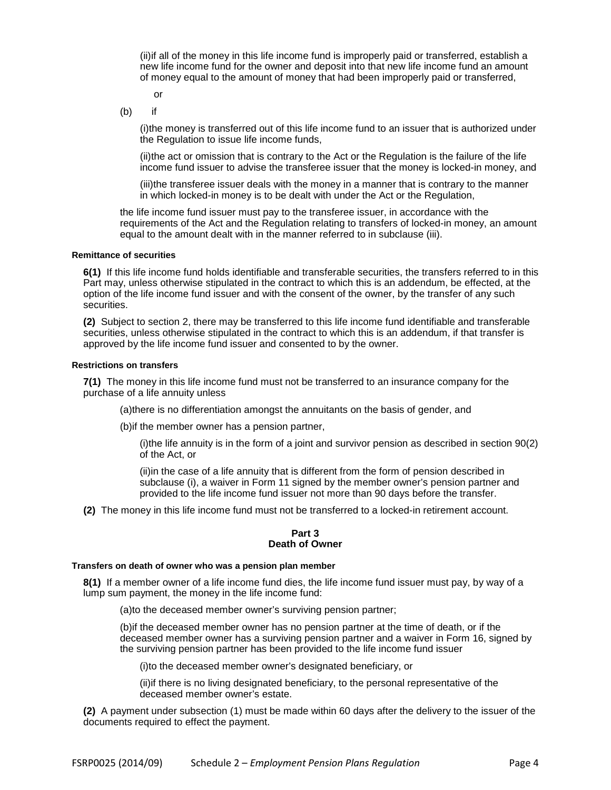(ii)if all of the money in this life income fund is improperly paid or transferred, establish a new life income fund for the owner and deposit into that new life income fund an amount of money equal to the amount of money that had been improperly paid or transferred,

or

(b) if

(i)the money is transferred out of this life income fund to an issuer that is authorized under the Regulation to issue life income funds,

(ii)the act or omission that is contrary to the Act or the Regulation is the failure of the life income fund issuer to advise the transferee issuer that the money is locked-in money, and

(iii)the transferee issuer deals with the money in a manner that is contrary to the manner in which locked-in money is to be dealt with under the Act or the Regulation,

the life income fund issuer must pay to the transferee issuer, in accordance with the requirements of the Act and the Regulation relating to transfers of locked-in money, an amount equal to the amount dealt with in the manner referred to in subclause (iii).

## **Remittance of securities**

**6(1)** If this life income fund holds identifiable and transferable securities, the transfers referred to in this Part may, unless otherwise stipulated in the contract to which this is an addendum, be effected, at the option of the life income fund issuer and with the consent of the owner, by the transfer of any such securities.

**(2)** Subject to section 2, there may be transferred to this life income fund identifiable and transferable securities, unless otherwise stipulated in the contract to which this is an addendum, if that transfer is approved by the life income fund issuer and consented to by the owner.

#### **Restrictions on transfers**

**7(1)** The money in this life income fund must not be transferred to an insurance company for the purchase of a life annuity unless

(a)there is no differentiation amongst the annuitants on the basis of gender, and

(b)if the member owner has a pension partner,

(i)the life annuity is in the form of a joint and survivor pension as described in section 90(2) of the Act, or

(ii)in the case of a life annuity that is different from the form of pension described in subclause (i), a waiver in Form 11 signed by the member owner's pension partner and provided to the life income fund issuer not more than 90 days before the transfer.

**(2)** The money in this life income fund must not be transferred to a locked-in retirement account.

## **Part 3 Death of Owner**

#### **Transfers on death of owner who was a pension plan member**

**8(1)** If a member owner of a life income fund dies, the life income fund issuer must pay, by way of a lump sum payment, the money in the life income fund:

(a)to the deceased member owner's surviving pension partner;

(b)if the deceased member owner has no pension partner at the time of death, or if the deceased member owner has a surviving pension partner and a waiver in Form 16, signed by the surviving pension partner has been provided to the life income fund issuer

(i)to the deceased member owner's designated beneficiary, or

(ii)if there is no living designated beneficiary, to the personal representative of the deceased member owner's estate.

**(2)** A payment under subsection (1) must be made within 60 days after the delivery to the issuer of the documents required to effect the payment.